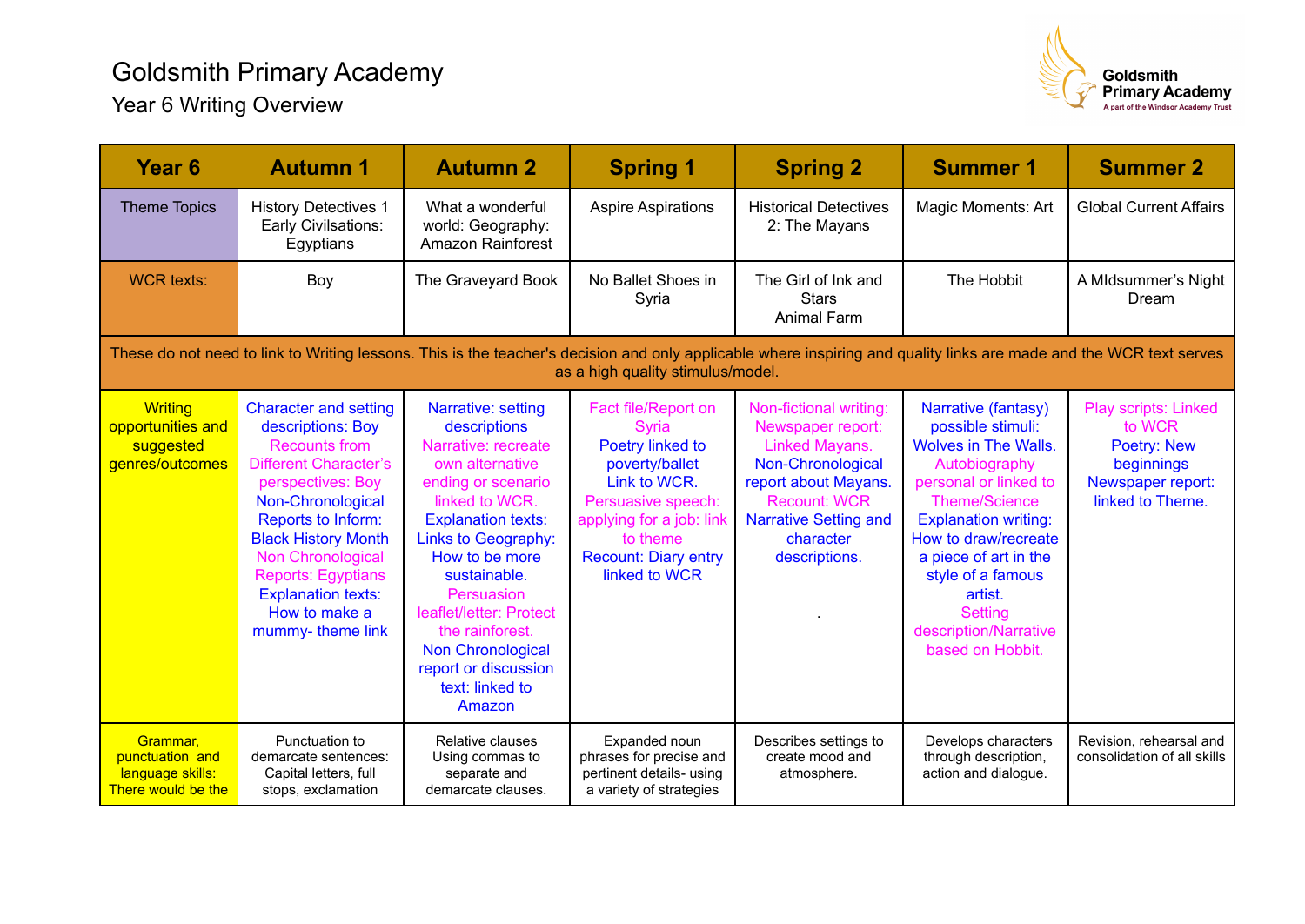## Goldsmith Primary Academy Year 6 Writing Overview



| Year <sub>6</sub>                                                                                                                                                                                        | <b>Autumn 1</b>                                                                                                                                                                                                                                                                                                             | <b>Autumn 2</b>                                                                                                                                                                                                                                                                                                                                         | <b>Spring 1</b>                                                                                                                                                                                  | <b>Spring 2</b>                                                                                                                                                                                 | <b>Summer 1</b>                                                                                                                                                                                                                                                                                                          | <b>Summer 2</b>                                                                                             |  |  |  |  |
|----------------------------------------------------------------------------------------------------------------------------------------------------------------------------------------------------------|-----------------------------------------------------------------------------------------------------------------------------------------------------------------------------------------------------------------------------------------------------------------------------------------------------------------------------|---------------------------------------------------------------------------------------------------------------------------------------------------------------------------------------------------------------------------------------------------------------------------------------------------------------------------------------------------------|--------------------------------------------------------------------------------------------------------------------------------------------------------------------------------------------------|-------------------------------------------------------------------------------------------------------------------------------------------------------------------------------------------------|--------------------------------------------------------------------------------------------------------------------------------------------------------------------------------------------------------------------------------------------------------------------------------------------------------------------------|-------------------------------------------------------------------------------------------------------------|--|--|--|--|
| <b>Theme Topics</b>                                                                                                                                                                                      | <b>History Detectives 1</b><br>Early Civilsations:<br>Egyptians                                                                                                                                                                                                                                                             | What a wonderful<br>world: Geography:<br>Amazon Rainforest                                                                                                                                                                                                                                                                                              | <b>Aspire Aspirations</b>                                                                                                                                                                        | <b>Historical Detectives</b><br>2: The Mayans                                                                                                                                                   | Magic Moments: Art                                                                                                                                                                                                                                                                                                       | <b>Global Current Affairs</b>                                                                               |  |  |  |  |
| <b>WCR</b> texts:                                                                                                                                                                                        | Boy                                                                                                                                                                                                                                                                                                                         | The Graveyard Book                                                                                                                                                                                                                                                                                                                                      | No Ballet Shoes in<br>Syria                                                                                                                                                                      | The Girl of Ink and<br><b>Stars</b><br><b>Animal Farm</b>                                                                                                                                       | The Hobbit                                                                                                                                                                                                                                                                                                               | A MIdsummer's Night<br>Dream                                                                                |  |  |  |  |
| These do not need to link to Writing lessons. This is the teacher's decision and only applicable where inspiring and quality links are made and the WCR text serves<br>as a high quality stimulus/model. |                                                                                                                                                                                                                                                                                                                             |                                                                                                                                                                                                                                                                                                                                                         |                                                                                                                                                                                                  |                                                                                                                                                                                                 |                                                                                                                                                                                                                                                                                                                          |                                                                                                             |  |  |  |  |
| <b>Writing</b><br>opportunities and<br>suggested<br>genres/outcomes                                                                                                                                      | <b>Character and setting</b><br>descriptions: Boy<br><b>Recounts from</b><br><b>Different Character's</b><br>perspectives: Boy<br>Non-Chronological<br>Reports to Inform:<br><b>Black History Month</b><br>Non Chronological<br><b>Reports: Egyptians</b><br><b>Explanation texts:</b><br>How to make a<br>mummy-theme link | Narrative: setting<br>descriptions<br>Narrative: recreate<br>own alternative<br>ending or scenario<br>linked to WCR.<br><b>Explanation texts:</b><br>Links to Geography:<br>How to be more<br>sustainable.<br>Persuasion<br>leaflet/letter: Protect<br>the rainforest.<br><b>Non Chronological</b><br>report or discussion<br>text: linked to<br>Amazon | Fact file/Report on<br>Syria<br>Poetry linked to<br>poverty/ballet<br>Link to WCR.<br>Persuasive speech:<br>applying for a job: link<br>to theme<br><b>Recount: Diary entry</b><br>linked to WCR | Non-fictional writing:<br>Newspaper report:<br>Linked Mayans.<br>Non-Chronological<br>report about Mayans.<br><b>Recount: WCR</b><br><b>Narrative Setting and</b><br>character<br>descriptions. | Narrative (fantasy)<br>possible stimuli:<br><b>Wolves in The Walls.</b><br>Autobiography<br>personal or linked to<br><b>Theme/Science</b><br><b>Explanation writing:</b><br>How to draw/recreate<br>a piece of art in the<br>style of a famous<br>artist.<br><b>Setting</b><br>description/Narrative<br>based on Hobbit. | Play scripts: Linked<br>to WCR<br><b>Poetry: New</b><br>beginnings<br>Newspaper report:<br>linked to Theme. |  |  |  |  |
| Grammar,<br>punctuation and<br>language skills:<br>There would be the                                                                                                                                    | Punctuation to<br>demarcate sentences:<br>Capital letters, full<br>stops, exclamation                                                                                                                                                                                                                                       | Relative clauses<br>Using commas to<br>separate and<br>demarcate clauses.                                                                                                                                                                                                                                                                               | Expanded noun<br>phrases for precise and<br>pertinent details- using<br>a variety of strategies                                                                                                  | Describes settings to<br>create mood and<br>atmosphere.                                                                                                                                         | Develops characters<br>through description,<br>action and dialogue.                                                                                                                                                                                                                                                      | Revision, rehearsal and<br>consolidation of all skills                                                      |  |  |  |  |